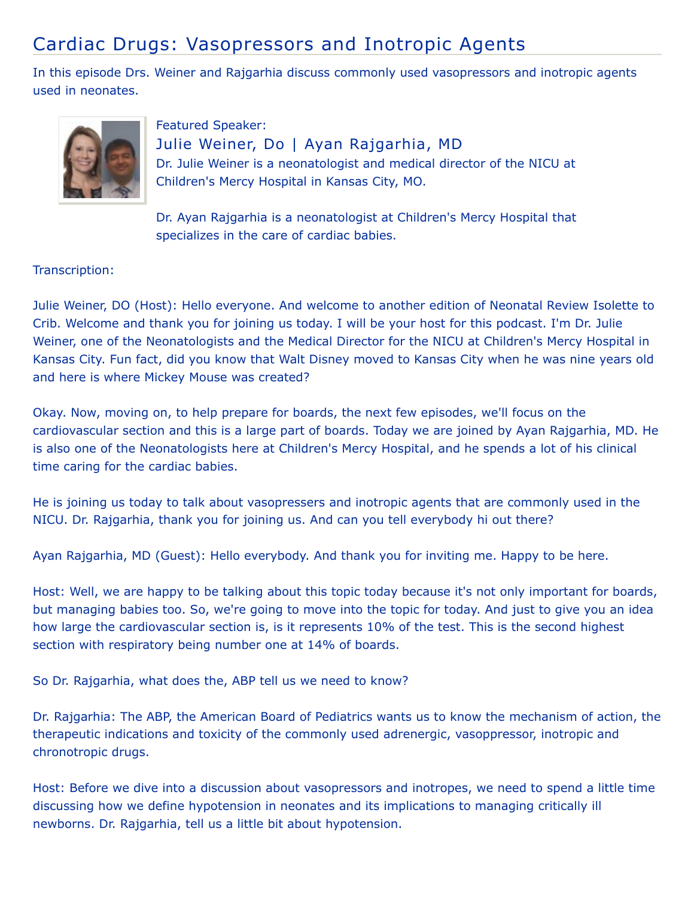## Cardiac Drugs: Vasopressors and Inotropic Agents

In this episode Drs. Weiner and Rajgarhia discuss commonly used vasopressors and inotropic agents used in neonates.



Featured Speaker: Julie Weiner, Do | Ayan Rajgarhia, MD Dr. Julie Weiner is a neonatologist and medical director of the NICU at Children's Mercy Hospital in Kansas City, MO.

Dr. Ayan Rajgarhia is a neonatologist at Children's Mercy Hospital that specializes in the care of cardiac babies.

## Transcription:

Julie Weiner, DO (Host): Hello everyone. And welcome to another edition of Neonatal Review Isolette to Crib. Welcome and thank you for joining us today. I will be your host for this podcast. I'm Dr. Julie Weiner, one of the Neonatologists and the Medical Director for the NICU at Children's Mercy Hospital in Kansas City. Fun fact, did you know that Walt Disney moved to Kansas City when he was nine years old and here is where Mickey Mouse was created?

Okay. Now, moving on, to help prepare for boards, the next few episodes, we'll focus on the cardiovascular section and this is a large part of boards. Today we are joined by Ayan Rajgarhia, MD. He is also one of the Neonatologists here at Children's Mercy Hospital, and he spends a lot of his clinical time caring for the cardiac babies.

He is joining us today to talk about vasopressers and inotropic agents that are commonly used in the NICU. Dr. Rajgarhia, thank you for joining us. And can you tell everybody hi out there?

Ayan Rajgarhia, MD (Guest): Hello everybody. And thank you for inviting me. Happy to be here.

Host: Well, we are happy to be talking about this topic today because it's not only important for boards, but managing babies too. So, we're going to move into the topic for today. And just to give you an idea how large the cardiovascular section is, is it represents 10% of the test. This is the second highest section with respiratory being number one at 14% of boards.

So Dr. Rajgarhia, what does the, ABP tell us we need to know?

Dr. Rajgarhia: The ABP, the American Board of Pediatrics wants us to know the mechanism of action, the therapeutic indications and toxicity of the commonly used adrenergic, vasoppressor, inotropic and chronotropic drugs.

Host: Before we dive into a discussion about vasopressors and inotropes, we need to spend a little time discussing how we define hypotension in neonates and its implications to managing critically ill newborns. Dr. Rajgarhia, tell us a little bit about hypotension.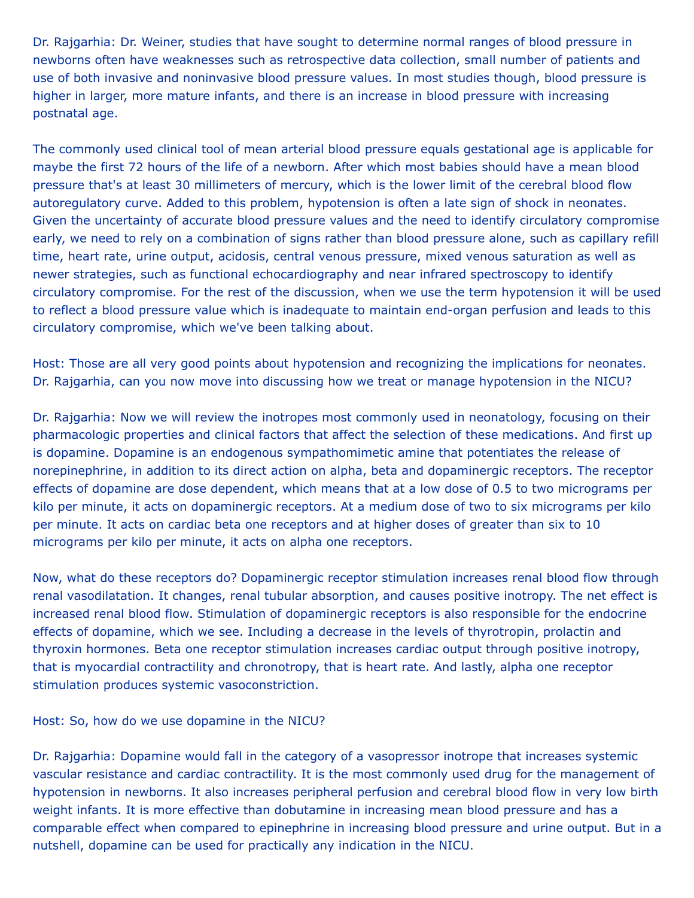Dr. Rajgarhia: Dr. Weiner, studies that have sought to determine normal ranges of blood pressure in newborns often have weaknesses such as retrospective data collection, small number of patients and use of both invasive and noninvasive blood pressure values. In most studies though, blood pressure is higher in larger, more mature infants, and there is an increase in blood pressure with increasing postnatal age.

The commonly used clinical tool of mean arterial blood pressure equals gestational age is applicable for maybe the first 72 hours of the life of a newborn. After which most babies should have a mean blood pressure that's at least 30 millimeters of mercury, which is the lower limit of the cerebral blood flow autoregulatory curve. Added to this problem, hypotension is often a late sign of shock in neonates. Given the uncertainty of accurate blood pressure values and the need to identify circulatory compromise early, we need to rely on a combination of signs rather than blood pressure alone, such as capillary refill time, heart rate, urine output, acidosis, central venous pressure, mixed venous saturation as well as newer strategies, such as functional echocardiography and near infrared spectroscopy to identify circulatory compromise. For the rest of the discussion, when we use the term hypotension it will be used to reflect a blood pressure value which is inadequate to maintain end-organ perfusion and leads to this circulatory compromise, which we've been talking about.

Host: Those are all very good points about hypotension and recognizing the implications for neonates. Dr. Rajgarhia, can you now move into discussing how we treat or manage hypotension in the NICU?

Dr. Rajgarhia: Now we will review the inotropes most commonly used in neonatology, focusing on their pharmacologic properties and clinical factors that affect the selection of these medications. And first up is dopamine. Dopamine is an endogenous sympathomimetic amine that potentiates the release of norepinephrine, in addition to its direct action on alpha, beta and dopaminergic receptors. The receptor effects of dopamine are dose dependent, which means that at a low dose of 0.5 to two micrograms per kilo per minute, it acts on dopaminergic receptors. At a medium dose of two to six micrograms per kilo per minute. It acts on cardiac beta one receptors and at higher doses of greater than six to 10 micrograms per kilo per minute, it acts on alpha one receptors.

Now, what do these receptors do? Dopaminergic receptor stimulation increases renal blood flow through renal vasodilatation. It changes, renal tubular absorption, and causes positive inotropy. The net effect is increased renal blood flow. Stimulation of dopaminergic receptors is also responsible for the endocrine effects of dopamine, which we see. Including a decrease in the levels of thyrotropin, prolactin and thyroxin hormones. Beta one receptor stimulation increases cardiac output through positive inotropy, that is myocardial contractility and chronotropy, that is heart rate. And lastly, alpha one receptor stimulation produces systemic vasoconstriction.

Host: So, how do we use dopamine in the NICU?

Dr. Rajgarhia: Dopamine would fall in the category of a vasopressor inotrope that increases systemic vascular resistance and cardiac contractility. It is the most commonly used drug for the management of hypotension in newborns. It also increases peripheral perfusion and cerebral blood flow in very low birth weight infants. It is more effective than dobutamine in increasing mean blood pressure and has a comparable effect when compared to epinephrine in increasing blood pressure and urine output. But in a nutshell, dopamine can be used for practically any indication in the NICU.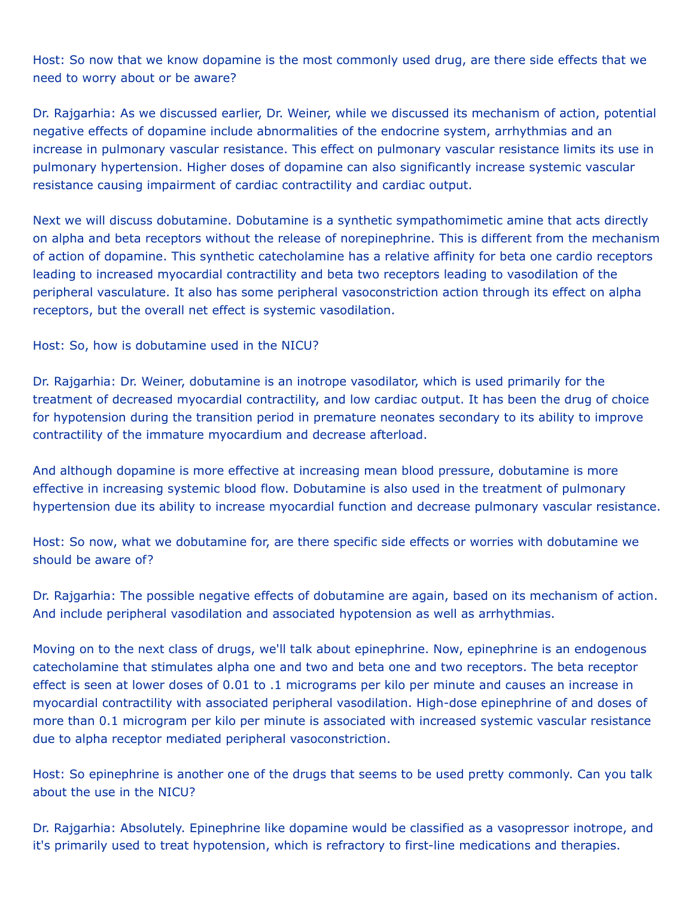Host: So now that we know dopamine is the most commonly used drug, are there side effects that we need to worry about or be aware?

Dr. Rajgarhia: As we discussed earlier, Dr. Weiner, while we discussed its mechanism of action, potential negative effects of dopamine include abnormalities of the endocrine system, arrhythmias and an increase in pulmonary vascular resistance. This effect on pulmonary vascular resistance limits its use in pulmonary hypertension. Higher doses of dopamine can also significantly increase systemic vascular resistance causing impairment of cardiac contractility and cardiac output.

Next we will discuss dobutamine. Dobutamine is a synthetic sympathomimetic amine that acts directly on alpha and beta receptors without the release of norepinephrine. This is different from the mechanism of action of dopamine. This synthetic catecholamine has a relative affinity for beta one cardio receptors leading to increased myocardial contractility and beta two receptors leading to vasodilation of the peripheral vasculature. It also has some peripheral vasoconstriction action through its effect on alpha receptors, but the overall net effect is systemic vasodilation.

Host: So, how is dobutamine used in the NICU?

Dr. Rajgarhia: Dr. Weiner, dobutamine is an inotrope vasodilator, which is used primarily for the treatment of decreased myocardial contractility, and low cardiac output. It has been the drug of choice for hypotension during the transition period in premature neonates secondary to its ability to improve contractility of the immature myocardium and decrease afterload.

And although dopamine is more effective at increasing mean blood pressure, dobutamine is more effective in increasing systemic blood flow. Dobutamine is also used in the treatment of pulmonary hypertension due its ability to increase myocardial function and decrease pulmonary vascular resistance.

Host: So now, what we dobutamine for, are there specific side effects or worries with dobutamine we should be aware of?

Dr. Rajgarhia: The possible negative effects of dobutamine are again, based on its mechanism of action. And include peripheral vasodilation and associated hypotension as well as arrhythmias.

Moving on to the next class of drugs, we'll talk about epinephrine. Now, epinephrine is an endogenous catecholamine that stimulates alpha one and two and beta one and two receptors. The beta receptor effect is seen at lower doses of 0.01 to .1 micrograms per kilo per minute and causes an increase in myocardial contractility with associated peripheral vasodilation. High-dose epinephrine of and doses of more than 0.1 microgram per kilo per minute is associated with increased systemic vascular resistance due to alpha receptor mediated peripheral vasoconstriction.

Host: So epinephrine is another one of the drugs that seems to be used pretty commonly. Can you talk about the use in the NICU?

Dr. Rajgarhia: Absolutely. Epinephrine like dopamine would be classified as a vasopressor inotrope, and it's primarily used to treat hypotension, which is refractory to first-line medications and therapies.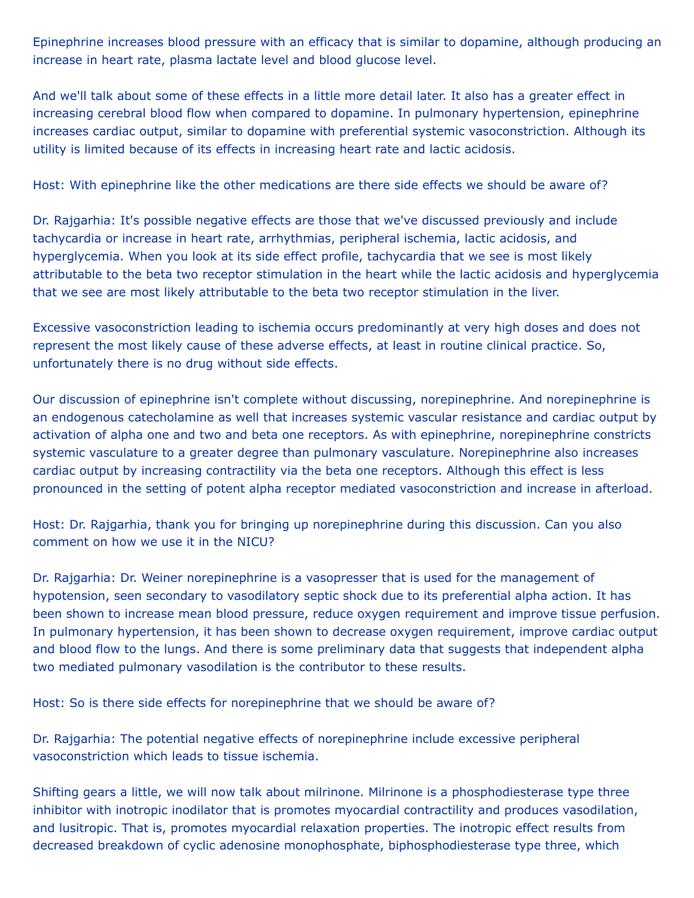Epinephrine increases blood pressure with an efficacy that is similar to dopamine, although producing an increase in heart rate, plasma lactate level and blood glucose level.

And we'll talk about some of these effects in a little more detail later. It also has a greater effect in increasing cerebral blood flow when compared to dopamine. In pulmonary hypertension, epinephrine increases cardiac output, similar to dopamine with preferential systemic vasoconstriction. Although its utility is limited because of its effects in increasing heart rate and lactic acidosis.

Host: With epinephrine like the other medications are there side effects we should be aware of?

Dr. Rajgarhia: It's possible negative effects are those that we've discussed previously and include tachycardia or increase in heart rate, arrhythmias, peripheral ischemia, lactic acidosis, and hyperglycemia. When you look at its side effect profile, tachycardia that we see is most likely attributable to the beta two receptor stimulation in the heart while the lactic acidosis and hyperglycemia that we see are most likely attributable to the beta two receptor stimulation in the liver.

Excessive vasoconstriction leading to ischemia occurs predominantly at very high doses and does not represent the most likely cause of these adverse effects, at least in routine clinical practice. So, unfortunately there is no drug without side effects.

Our discussion of epinephrine isn't complete without discussing, norepinephrine. And norepinephrine is an endogenous catecholamine as well that increases systemic vascular resistance and cardiac output by activation of alpha one and two and beta one receptors. As with epinephrine, norepinephrine constricts systemic vasculature to a greater degree than pulmonary vasculature. Norepinephrine also increases cardiac output by increasing contractility via the beta one receptors. Although this effect is less pronounced in the setting of potent alpha receptor mediated vasoconstriction and increase in afterload.

Host: Dr. Rajgarhia, thank you for bringing up norepinephrine during this discussion. Can you also comment on how we use it in the NICU?

Dr. Rajgarhia: Dr. Weiner norepinephrine is a vasopresser that is used for the management of hypotension, seen secondary to vasodilatory septic shock due to its preferential alpha action. It has been shown to increase mean blood pressure, reduce oxygen requirement and improve tissue perfusion. In pulmonary hypertension, it has been shown to decrease oxygen requirement, improve cardiac output and blood flow to the lungs. And there is some preliminary data that suggests that independent alpha two mediated pulmonary vasodilation is the contributor to these results.

Host: So is there side effects for norepinephrine that we should be aware of?

Dr. Rajgarhia: The potential negative effects of norepinephrine include excessive peripheral vasoconstriction which leads to tissue ischemia.

Shifting gears a little, we will now talk about milrinone. Milrinone is a phosphodiesterase type three inhibitor with inotropic inodilator that is promotes myocardial contractility and produces vasodilation, and lusitropic. That is, promotes myocardial relaxation properties. The inotropic effect results from decreased breakdown of cyclic adenosine monophosphate, biphosphodiesterase type three, which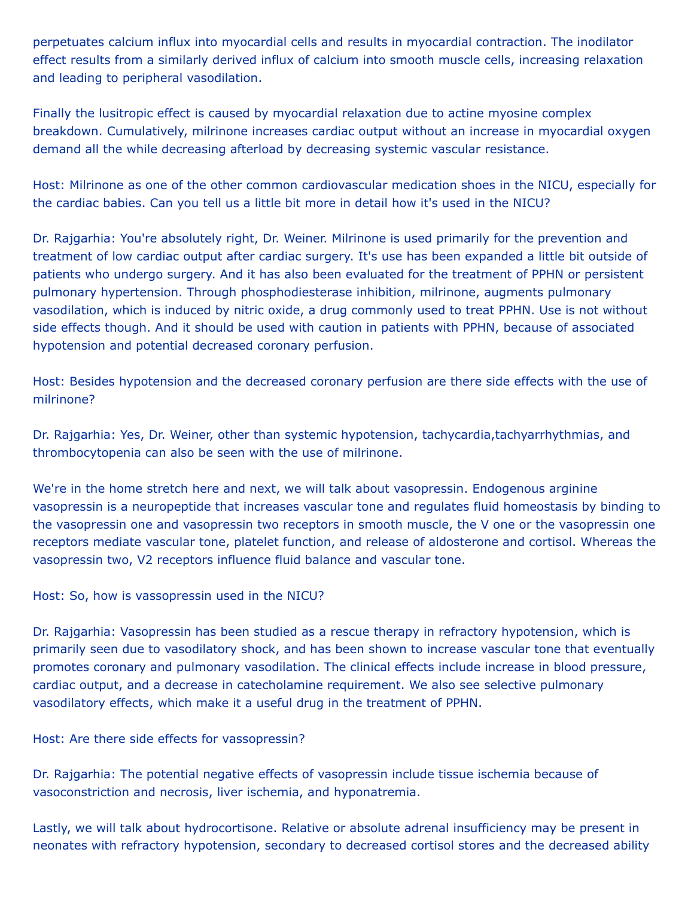perpetuates calcium influx into myocardial cells and results in myocardial contraction. The inodilator effect results from a similarly derived influx of calcium into smooth muscle cells, increasing relaxation and leading to peripheral vasodilation.

Finally the lusitropic effect is caused by myocardial relaxation due to actine myosine complex breakdown. Cumulatively, milrinone increases cardiac output without an increase in myocardial oxygen demand all the while decreasing afterload by decreasing systemic vascular resistance.

Host: Milrinone as one of the other common cardiovascular medication shoes in the NICU, especially for the cardiac babies. Can you tell us a little bit more in detail how it's used in the NICU?

Dr. Rajgarhia: You're absolutely right, Dr. Weiner. Milrinone is used primarily for the prevention and treatment of low cardiac output after cardiac surgery. It's use has been expanded a little bit outside of patients who undergo surgery. And it has also been evaluated for the treatment of PPHN or persistent pulmonary hypertension. Through phosphodiesterase inhibition, milrinone, augments pulmonary vasodilation, which is induced by nitric oxide, a drug commonly used to treat PPHN. Use is not without side effects though. And it should be used with caution in patients with PPHN, because of associated hypotension and potential decreased coronary perfusion.

Host: Besides hypotension and the decreased coronary perfusion are there side effects with the use of milrinone?

Dr. Rajgarhia: Yes, Dr. Weiner, other than systemic hypotension, tachycardia,tachyarrhythmias, and thrombocytopenia can also be seen with the use of milrinone.

We're in the home stretch here and next, we will talk about vasopressin. Endogenous arginine vasopressin is a neuropeptide that increases vascular tone and regulates fluid homeostasis by binding to the vasopressin one and vasopressin two receptors in smooth muscle, the V one or the vasopressin one receptors mediate vascular tone, platelet function, and release of aldosterone and cortisol. Whereas the vasopressin two, V2 receptors influence fluid balance and vascular tone.

Host: So, how is vassopressin used in the NICU?

Dr. Rajgarhia: Vasopressin has been studied as a rescue therapy in refractory hypotension, which is primarily seen due to vasodilatory shock, and has been shown to increase vascular tone that eventually promotes coronary and pulmonary vasodilation. The clinical effects include increase in blood pressure, cardiac output, and a decrease in catecholamine requirement. We also see selective pulmonary vasodilatory effects, which make it a useful drug in the treatment of PPHN.

Host: Are there side effects for vassopressin?

Dr. Rajgarhia: The potential negative effects of vasopressin include tissue ischemia because of vasoconstriction and necrosis, liver ischemia, and hyponatremia.

Lastly, we will talk about hydrocortisone. Relative or absolute adrenal insufficiency may be present in neonates with refractory hypotension, secondary to decreased cortisol stores and the decreased ability